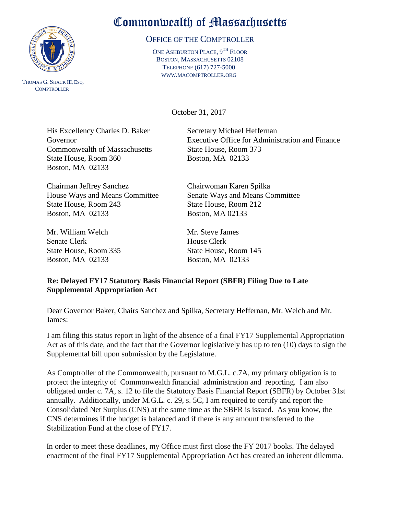

 THOMAS G. SHACK III, ESQ. **COMPTROLLER** 

## Commonwealth of Massachusetts

## OFFICE OF THE COMPTROLLER

ONE ASHBURTON PLACE, 9<sup>TH</sup> FLOOR BOSTON, MASSACHUSETTS 02108 TELEPHONE (617) 727-5000 WWW.MACOMPTROLLER.ORG

October 31, 2017

His Excellency Charles D. Baker Secretary Michael Heffernan Commonwealth of Massachusetts State House, Room 373 State House, Room 360 Boston, MA 02133 Boston, MA 02133

Chairman Jeffrey Sanchez Chairwoman Karen Spilka State House, Room 243 State House, Room 212 Boston, MA 02133 Boston, MA 02133

Mr. William Welch Mr. Steve James Senate Clerk House Clerk State House, Room 335 State House, Room 145 Boston, MA 02133 Boston, MA 02133

Governor Executive Office for Administration and Finance

House Ways and Means Committee Senate Ways and Means Committee

## **Re: Delayed FY17 Statutory Basis Financial Report (SBFR) Filing Due to Late Supplemental Appropriation Act**

Dear Governor Baker, Chairs Sanchez and Spilka, Secretary Heffernan, Mr. Welch and Mr. James:

I am filing this status report in light of the absence of a final FY17 Supplemental Appropriation Act as of this date, and the fact that the Governor legislatively has up to ten (10) days to sign the Supplemental bill upon submission by the Legislature.

As Comptroller of the Commonwealth, pursuant to M.G.L. c.7A, my primary obligation is to protect the integrity of Commonwealth financial administration and reporting. I am also obligated under c. 7A, s. 12 to file the Statutory Basis Financial Report (SBFR) by October 31st annually. Additionally, under M.G.L. c. 29, s. 5C, I am required to certify and report the Consolidated Net Surplus (CNS) at the same time as the SBFR is issued. As you know, the CNS determines if the budget is balanced and if there is any amount transferred to the Stabilization Fund at the close of FY17.

In order to meet these deadlines, my Office must first close the FY 2017 books. The delayed enactment of the final FY17 Supplemental Appropriation Act has created an inherent dilemma.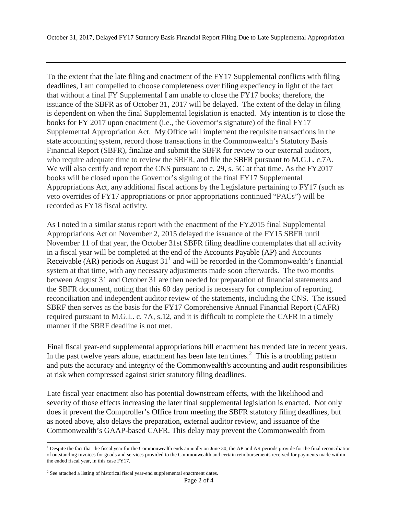To the extent that the late filing and enactment of the FY17 Supplemental conflicts with filing deadlines, I am compelled to choose completeness over filing expediency in light of the fact that without a final FY Supplemental I am unable to close the FY17 books; therefore, the issuance of the SBFR as of October 31, 2017 will be delayed. The extent of the delay in filing is dependent on when the final Supplemental legislation is enacted. My intention is to close the books for FY 2017 upon enactment (i.e., the Governor's signature) of the final FY17 Supplemental Appropriation Act. My Office will implement the requisite transactions in the state accounting system, record those transactions in the Commonwealth's Statutory Basis Financial Report (SBFR), finalize and submit the SBFR for review to our external auditors, who require adequate time to review the SBFR, and file the SBFR pursuant to M.G.L. c.7A. We will also certify and report the CNS pursuant to c. 29, s. 5C at that time. As the FY2017 books will be closed upon the Governor's signing of the final FY17 Supplemental Appropriations Act, any additional fiscal actions by the Legislature pertaining to FY17 (such as veto overrides of FY17 appropriations or prior appropriations continued "PACs") will be recorded as FY18 fiscal activity.

As I noted in a similar status report with the enactment of the FY2015 final Supplemental Appropriations Act on November 2, 2015 delayed the issuance of the FY15 SBFR until November 11 of that year, the October 31st SBFR filing deadline contemplates that all activity in a fiscal year will be completed at the end of the Accounts Payable (AP) and Accounts Receivable (AR) periods on August  $31<sup>1</sup>$  $31<sup>1</sup>$  $31<sup>1</sup>$  and will be recorded in the Commonwealth's financial system at that time, with any necessary adjustments made soon afterwards. The two months between August 31 and October 31 are then needed for preparation of financial statements and the SBFR document, noting that this 60 day period is necessary for completion of reporting, reconciliation and independent auditor review of the statements, including the CNS. The issued SBRF then serves as the basis for the FY17 Comprehensive Annual Financial Report (CAFR) required pursuant to M.G.L. c. 7A, s.12, and it is difficult to complete the CAFR in a timely manner if the SBRF deadline is not met.

Final fiscal year-end supplemental appropriations bill enactment has trended late in recent years. In the past twelve years alone, enactment has been late ten times. $\frac{1}{2}$  $\frac{1}{2}$  $\frac{1}{2}$  This is a troubling pattern and puts the accuracy and integrity of the Commonwealth's accounting and audit responsibilities at risk when compressed against strict statutory filing deadlines.

Late fiscal year enactment also has potential downstream effects, with the likelihood and severity of those effects increasing the later final supplemental legislation is enacted. Not only does it prevent the Comptroller's Office from meeting the SBFR statutory filing deadlines, but as noted above, also delays the preparation, external auditor review, and issuance of the Commonwealth's GAAP-based CAFR. This delay may prevent the Commonwealth from

<span id="page-1-0"></span> $<sup>1</sup>$  Despite the fact that the fiscal year for the Commonwealth ends annually on June 30, the AP and AR periods provide for the final reconciliation</sup> of outstanding invoices for goods and services provided to the Commonwealth and certain reimbursements received for payments made within the ended fiscal year, in this case FY17.

<span id="page-1-1"></span> $2$  See attached a listing of historical fiscal year-end supplemental enactment dates.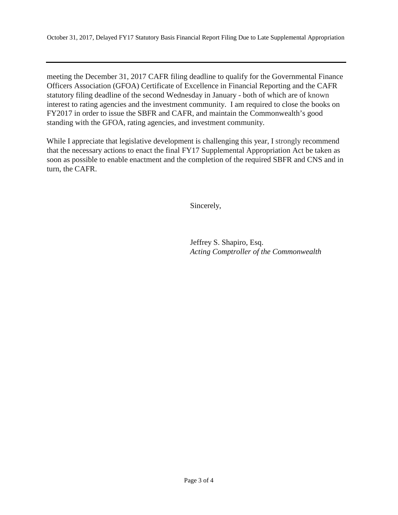meeting the December 31, 2017 CAFR filing deadline to qualify for the Governmental Finance Officers Association (GFOA) Certificate of Excellence in Financial Reporting and the CAFR statutory filing deadline of the second Wednesday in January - both of which are of known interest to rating agencies and the investment community. I am required to close the books on FY2017 in order to issue the SBFR and CAFR, and maintain the Commonwealth's good standing with the GFOA, rating agencies, and investment community.

While I appreciate that legislative development is challenging this year, I strongly recommend that the necessary actions to enact the final FY17 Supplemental Appropriation Act be taken as soon as possible to enable enactment and the completion of the required SBFR and CNS and in turn, the CAFR.

Sincerely,

Jeffrey S. Shapiro, Esq. *Acting Comptroller of the Commonwealth*